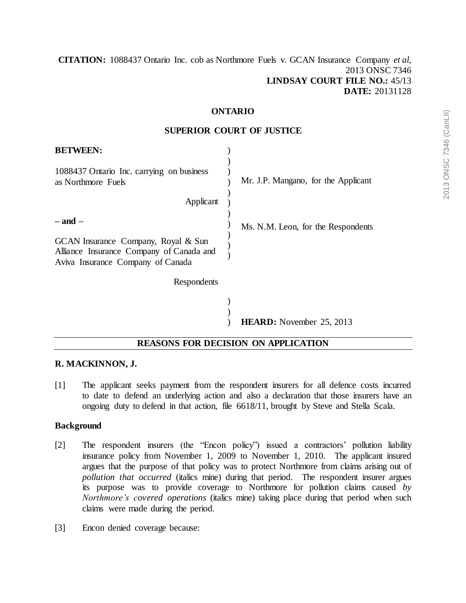**[CITATION:](http://intra.judicialsecurity.jus.gov.on.ca/NeutralCitation/)** 1088437 Ontario Inc. cob as Northmore Fuels v. GCAN Insurance Company *et al*, 2013 ONSC 7346 **LINDSAY COURT FILE NO.:** 45/13 **DATE:** 20131128

#### **ONTARIO**

#### **SUPERIOR COURT OF JUSTICE**

| <b>BETWEEN:</b>                                                                                                                     |                                     |
|-------------------------------------------------------------------------------------------------------------------------------------|-------------------------------------|
| 1088437 Ontario Inc. carrying on business<br>as Northmore Fuels                                                                     | Mr. J.P. Mangano, for the Applicant |
| Applicant                                                                                                                           |                                     |
| $-$ and $-$<br>GCAN Insurance Company, Royal & Sun<br>Alliance Insurance Company of Canada and<br>Aviva Insurance Company of Canada | Ms. N.M. Leon, for the Respondents  |
| Respondents                                                                                                                         |                                     |
|                                                                                                                                     | <b>HEARD:</b> November 25, 2013     |

## **REASONS FOR DECISION ON APPLICATION**

### **R. MACKINNON, J.**

[1] The applicant seeks payment from the respondent insurers for all defence costs incurred to date to defend an underlying action and also a declaration that those insurers have an ongoing duty to defend in that action, file 6618/11, brought by Steve and Stella Scala.

### **Background**

- [2] The respondent insurers (the "Encon policy") issued a contractors' pollution liability insurance policy from November 1, 2009 to November 1, 2010. The applicant insured argues that the purpose of that policy was to protect Northmore from claims arising out of *pollution that occurred* (italics mine) during that period. The respondent insurer argues its purpose was to provide coverage to Northmore for pollution claims caused *by Northmore's covered operations* (italics mine) taking place during that period when such claims were made during the period.
- [3] Encon denied coverage because: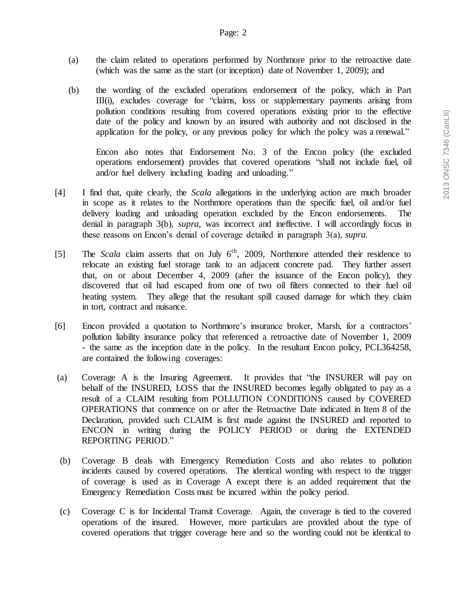- (a) the claim related to operations performed by Northmore prior to the retroactive date (which was the same as the start (or inception) date of November 1, 2009); and
- (b) the wording of the excluded operations endorsement of the policy, which in Part III(i), excludes coverage for "claims, loss or supplementary payments arising from pollution conditions resulting from covered operations existing prior to the effective date of the policy and known by an insured with authority and not disclosed in the application for the policy, or any previous policy for which the policy was a renewal."

Encon also notes that Endorsement No. 3 of the Encon policy (the excluded operations endorsement) provides that covered operations "shall not include fuel, oil and/or fuel delivery including loading and unloading."

- [4] I find that, quite clearly, the *Scala* allegations in the underlying action are much broader in scope as it relates to the Northmore operations than the specific fuel, oil and/or fuel delivery loading and unloading operation excluded by the Encon endorsements. The denial in paragraph 3(b), *supra*, was incorrect and ineffective. I will accordingly focus in these reasons on Encon's denial of coverage detailed in paragraph 3(a), *supra.*
- [5] The *Scala* claim asserts that on July 6<sup>th</sup>, 2009, Northmore attended their residence to relocate an existing fuel storage tank to an adjacent concrete pad. They further assert that, on or about December 4, 2009 (after the issuance of the Encon policy), they discovered that oil had escaped from one of two oil filters connected to their fuel oil heating system. They allege that the resultant spill caused damage for which they claim in tort, contract and nuisance.
- [6] Encon provided a quotation to Northmore's insurance broker, Marsh, for a contractors' pollution liability insurance policy that referenced a retroactive date of November 1, 2009 - the same as the inception date in the policy. In the resultant Encon policy, PCL364258, are contained the following coverages:
- (a) Coverage A is the Insuring Agreement. It provides that "the INSURER will pay on behalf of the INSURED, LOSS that the INSURED becomes legally obligated to pay as a result of a CLAIM resulting from POLLUTION CONDITIONS caused by COVERED OPERATIONS that commence on or after the Retroactive Date indicated in Item 8 of the Declaration, provided such CLAIM is first made against the INSURED and reported to ENCON in writing during the POLICY PERIOD or during the EXTENDED REPORTING PERIOD."
- (b) Coverage B deals with Emergency Remediation Costs and also relates to pollution incidents caused by covered operations. The identical wording with respect to the trigger of coverage is used as in Coverage A except there is an added requirement that the Emergency Remediation Costs must be incurred within the policy period.
- (c) Coverage C is for Incidental Transit Coverage. Again, the coverage is tied to the covered operations of the insured. However, more particulars are provided about the type of covered operations that trigger coverage here and so the wording could not be identical to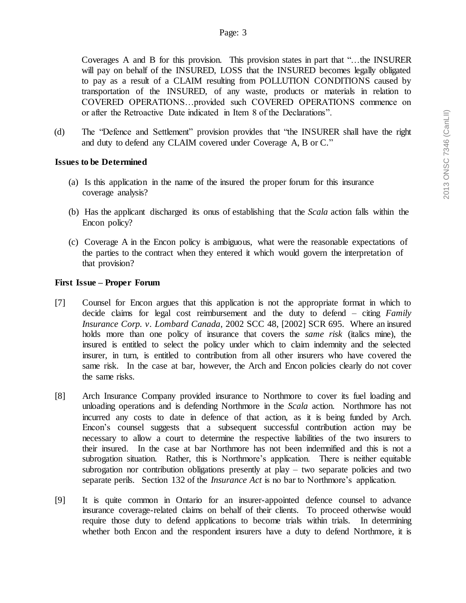Coverages A and B for this provision. This provision states in part that "…the INSURER will pay on behalf of the INSURED, LOSS that the INSURED becomes legally obligated to pay as a result of a CLAIM resulting from POLLUTION CONDITIONS caused by transportation of the INSURED, of any waste, products or materials in relation to COVERED OPERATIONS…provided such COVERED OPERATIONS commence on or after the Retroactive Date indicated in Item 8 of the Declarations".

(d) The "Defence and Settlement" provision provides that "the INSURER shall have the right and duty to defend any CLAIM covered under Coverage A, B or C."

#### **Issues to be Determined**

- (a) Is this application in the name of the insured the proper forum for this insurance coverage analysis?
- (b) Has the applicant discharged its onus of establishing that the *Scala* action falls within the Encon policy?
- (c) Coverage A in the Encon policy is ambiguous, what were the reasonable expectations of the parties to the contract when they entered it which would govern the interpretation of that provision?

### **First Issue – Proper Forum**

- [7] Counsel for Encon argues that this application is not the appropriate format in which to decide claims for legal cost reimbursement and the duty to defend – citing *Family Insurance Corp. v. Lombard Canada*, 2002 SCC 48, [2002] SCR 695. Where an insured holds more than one policy of insurance that covers the *same risk* (italics mine), the insured is entitled to select the policy under which to claim indemnity and the selected insurer, in turn, is entitled to contribution from all other insurers who have covered the same risk. In the case at bar, however, the Arch and Encon policies clearly do not cover the same risks.
- [8] Arch Insurance Company provided insurance to Northmore to cover its fuel loading and unloading operations and is defending Northmore in the *Scala* action. Northmore has not incurred any costs to date in defence of that action, as it is being funded by Arch. Encon's counsel suggests that a subsequent successful contribution action may be necessary to allow a court to determine the respective liabilities of the two insurers to their insured. In the case at bar Northmore has not been indemnified and this is not a subrogation situation. Rather, this is Northmore's application. There is neither equitable subrogation nor contribution obligations presently at  $play - two separate policies and two$ separate perils. Section 132 of the *Insurance Act* is no bar to Northmore's application.
- [9] It is quite common in Ontario for an insurer-appointed defence counsel to advance insurance coverage-related claims on behalf of their clients. To proceed otherwise would require those duty to defend applications to become trials within trials. In determining whether both Encon and the respondent insurers have a duty to defend Northmore, it is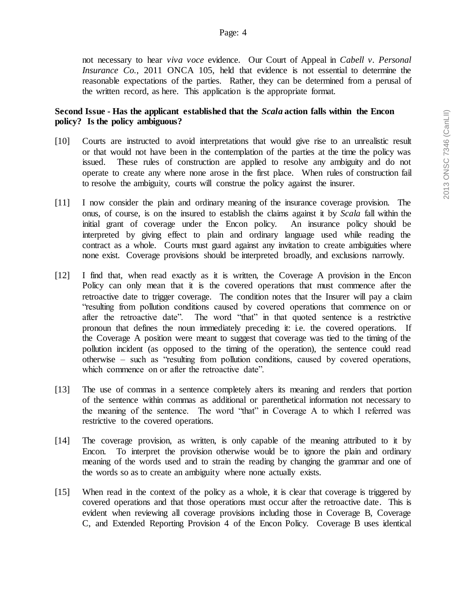not necessary to hear *viva voce* evidence. Our Court of Appeal in *Cabell v. Personal Insurance Co.*, 2011 ONCA 105, held that evidence is not essential to determine the reasonable expectations of the parties. Rather, they can be determined from a perusal of the written record, as here. This application is the appropriate format.

### **Second Issue - Has the applicant established that the** *Scala* **action falls within the Encon policy? Is the policy ambiguous?**

- [10] Courts are instructed to avoid interpretations that would give rise to an unrealistic result or that would not have been in the contemplation of the parties at the time the policy was issued. These rules of construction are applied to resolve any ambiguity and do not operate to create any where none arose in the first place. When rules of construction fail to resolve the ambiguity, courts will construe the policy against the insurer.
- [11] I now consider the plain and ordinary meaning of the insurance coverage provision. The onus, of course, is on the insured to establish the claims against it by *Scala* fall within the initial grant of coverage under the Encon policy. An insurance policy should be interpreted by giving effect to plain and ordinary language used while reading the contract as a whole. Courts must guard against any invitation to create ambiguities where none exist. Coverage provisions should be interpreted broadly, and exclusions narrowly.
- [12] I find that, when read exactly as it is written, the Coverage A provision in the Encon Policy can only mean that it is the covered operations that must commence after the retroactive date to trigger coverage. The condition notes that the Insurer will pay a claim "resulting from pollution conditions caused by covered operations that commence on or after the retroactive date". The word "that" in that quoted sentence is a restrictive pronoun that defines the noun immediately preceding it: i.e. the covered operations. If the Coverage A position were meant to suggest that coverage was tied to the timing of the pollution incident (as opposed to the timing of the operation), the sentence could read otherwise – such as "resulting from pollution conditions, caused by covered operations, which commence on or after the retroactive date".
- [13] The use of commas in a sentence completely alters its meaning and renders that portion of the sentence within commas as additional or parenthetical information not necessary to the meaning of the sentence. The word "that" in Coverage A to which I referred was restrictive to the covered operations.
- [14] The coverage provision, as written, is only capable of the meaning attributed to it by Encon. To interpret the provision otherwise would be to ignore the plain and ordinary meaning of the words used and to strain the reading by changing the grammar and one of the words so as to create an ambiguity where none actually exists.
- [15] When read in the context of the policy as a whole, it is clear that coverage is triggered by covered operations and that those operations must occur after the retroactive date. This is evident when reviewing all coverage provisions including those in Coverage B, Coverage C, and Extended Reporting Provision 4 of the Encon Policy. Coverage B uses identical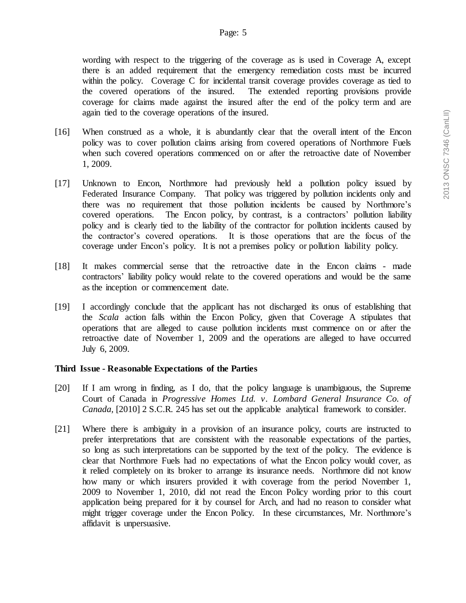wording with respect to the triggering of the coverage as is used in Coverage A, except there is an added requirement that the emergency remediation costs must be incurred within the policy. Coverage C for incidental transit coverage provides coverage as tied to the covered operations of the insured. The extended reporting provisions provide coverage for claims made against the insured after the end of the policy term and are again tied to the coverage operations of the insured.

- [16] When construed as a whole, it is abundantly clear that the overall intent of the Encon policy was to cover pollution claims arising from covered operations of Northmore Fuels when such covered operations commenced on or after the retroactive date of November 1, 2009.
- [17] Unknown to Encon, Northmore had previously held a pollution policy issued by Federated Insurance Company. That policy was triggered by pollution incidents only and there was no requirement that those pollution incidents be caused by Northmore's covered operations. The Encon policy, by contrast, is a contractors' pollution liability policy and is clearly tied to the liability of the contractor for pollution incidents caused by the contractor's covered operations. It is those operations that are the focus of the coverage under Encon's policy. It is not a premises policy or pollution liability policy.
- [18] It makes commercial sense that the retroactive date in the Encon claims made contractors' liability policy would relate to the covered operations and would be the same as the inception or commencement date.
- [19] I accordingly conclude that the applicant has not discharged its onus of establishing that the *Scala* action falls within the Encon Policy, given that Coverage A stipulates that operations that are alleged to cause pollution incidents must commence on or after the retroactive date of November 1, 2009 and the operations are alleged to have occurred July 6, 2009.

### **Third Issue - Reasonable Expectations of the Parties**

- [20] If I am wrong in finding, as I do, that the policy language is unambiguous, the Supreme Court of Canada in *Progressive Homes Ltd. v. Lombard General Insurance Co. of Canada,* [2010] 2 S.C.R. 245 has set out the applicable analytical framework to consider.
- [21] Where there is ambiguity in a provision of an insurance policy, courts are instructed to prefer interpretations that are consistent with the reasonable expectations of the parties, so long as such interpretations can be supported by the text of the policy. The evidence is clear that Northmore Fuels had no expectations of what the Encon policy would cover, as it relied completely on its broker to arrange its insurance needs. Northmore did not know how many or which insurers provided it with coverage from the period November 1, 2009 to November 1, 2010, did not read the Encon Policy wording prior to this court application being prepared for it by counsel for Arch, and had no reason to consider what might trigger coverage under the Encon Policy. In these circumstances, Mr. Northmore's affidavit is unpersuasive.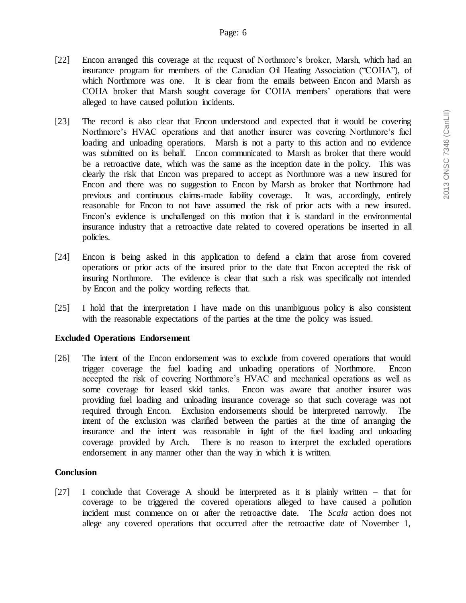- [22] Encon arranged this coverage at the request of Northmore's broker, Marsh, which had an insurance program for members of the Canadian Oil Heating Association ("COHA"), of which Northmore was one. It is clear from the emails between Encon and Marsh as COHA broker that Marsh sought coverage for COHA members' operations that were alleged to have caused pollution incidents.
- [23] The record is also clear that Encon understood and expected that it would be covering Northmore's HVAC operations and that another insurer was covering Northmore's fuel loading and unloading operations. Marsh is not a party to this action and no evidence was submitted on its behalf. Encon communicated to Marsh as broker that there would be a retroactive date, which was the same as the inception date in the policy. This was clearly the risk that Encon was prepared to accept as Northmore was a new insured for Encon and there was no suggestion to Encon by Marsh as broker that Northmore had previous and continuous claims-made liability coverage. It was, accordingly, entirely reasonable for Encon to not have assumed the risk of prior acts with a new insured. Encon's evidence is unchallenged on this motion that it is standard in the environmental insurance industry that a retroactive date related to covered operations be inserted in all policies.
- [24] Encon is being asked in this application to defend a claim that arose from covered operations or prior acts of the insured prior to the date that Encon accepted the risk of insuring Northmore. The evidence is clear that such a risk was specifically not intended by Encon and the policy wording reflects that.
- [25] I hold that the interpretation I have made on this unambiguous policy is also consistent with the reasonable expectations of the parties at the time the policy was issued.

### **Excluded Operations Endorsement**

[26] The intent of the Encon endorsement was to exclude from covered operations that would trigger coverage the fuel loading and unloading operations of Northmore. Encon accepted the risk of covering Northmore's HVAC and mechanical operations as well as some coverage for leased skid tanks. Encon was aware that another insurer was providing fuel loading and unloading insurance coverage so that such coverage was not required through Encon. Exclusion endorsements should be interpreted narrowly. The intent of the exclusion was clarified between the parties at the time of arranging the insurance and the intent was reasonable in light of the fuel loading and unloading coverage provided by Arch. There is no reason to interpret the excluded operations endorsement in any manner other than the way in which it is written.

# **Conclusion**

[27] I conclude that Coverage A should be interpreted as it is plainly written – that for coverage to be triggered the covered operations alleged to have caused a pollution incident must commence on or after the retroactive date. The *Scala* action does not allege any covered operations that occurred after the retroactive date of November 1,